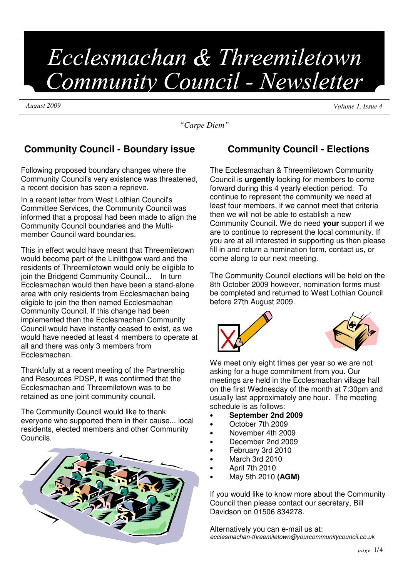# Ecclesmachan & Threemiletown Community Council - Newsletter

*August 2009 Volume 1, Issue 4*

*"Carpe Diem"*

# **Community Council - Boundary issue**

Following proposed boundary changes where the Community Council's very existence was threatened, a recent decision has seen a reprieve.

In a recent letter from West Lothian Council's Committee Services, the Community Council was informed that a proposal had been made to align the Community Council boundaries and the Multimember Council ward boundaries.

This in effect would have meant that Threemiletown would become part of the Linlithgow ward and the residents of Threemiletown would only be eligible to join the Bridgend Community Council... In turn Ecclesmachan would then have been a stand-alone area with only residents from Ecclesmachan being eligible to join the then named Ecclesmachan Community Council. If this change had been implemented then the Ecclesmachan Community Council would have instantly ceased to exist, as we would have needed at least 4 members to operate at all and there was only 3 members from Ecclesmachan.

Thankfully at a recent meeting of the Partnership and Resources PDSP, it was confirmed that the Ecclesmachan and Threemiletown was to be retained as one joint community council.

The Community Council would like to thank everyone who supported them in their cause... local residents, elected members and other Community Councils.



# **Community Council - Elections**

The Ecclesmachan & Threemiletown Community Council is **urgently** looking for members to come forward during this 4 yearly election period. To continue to represent the community we need at least four members, if we cannot meet that criteria then we will not be able to establish a new Community Council. We do need **your** support if we are to continue to represent the local community. If you are at all interested in supporting us then please fill in and return a nomination form, contact us, or come along to our next meeting.

The Community Council elections will be held on the 8th October 2009 however, nomination forms must be completed and returned to West Lothian Council before 27th August 2009.





We meet only eight times per year so we are not asking for a huge commitment from you. Our meetings are held in the Ecclesmachan village hall on the first Wednesday of the month at 7:30pm and usually last approximately one hour. The meeting schedule is as follows:

- **September 2nd 2009**
- October 7th 2009
- November 4th 2009
- December 2nd 2009
- February 3rd 2010
- March 3rd 2010
- April 7th 2010
- May 5th 2010 **(AGM)**

If you would like to know more about the Community Council then please contact our secretary, Bill Davidson on 01506 834278.

Alternatively you can e-mail us at: ecclesmachan-threemiletown@yourcommunitycouncil.co.uk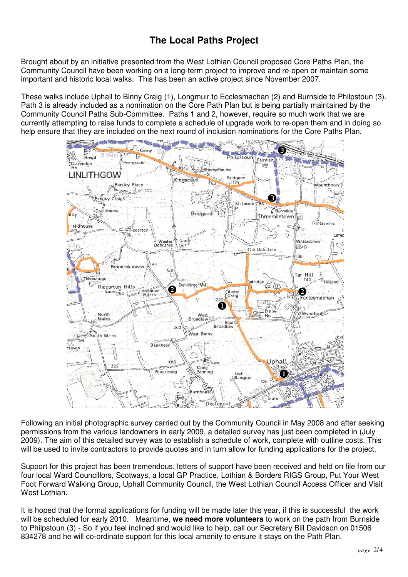# **The Local Paths Project**

Brought about by an initiative presented from the West Lothian Council proposed Core Paths Plan, the Community Council have been working on a long-term project to improve and re-open or maintain some important and historic local walks. This has been an active project since November 2007.

These walks include Uphall to Binny Craig (1), Longmuir to Ecclesmachan (2) and Burnside to Philpstoun (3). Path 3 is already included as a nomination on the Core Path Plan but is being partially maintained by the Community Council Paths Sub-Committee. Paths 1 and 2, however, require so much work that we are currently attempting to raise funds to complete a schedule of upgrade work to re-open them and in doing so help ensure that they are included on the next round of inclusion nominations for the Core Paths Plan.



Following an initial photographic survey carried out by the Community Council in May 2008 and after seeking permissions from the various landowners in early 2009, a detailed survey has just been completed in (July 2009). The aim of this detailed survey was to establish a schedule of work, complete with outline costs. This will be used to invite contractors to provide quotes and in turn allow for funding applications for the project.

Support for this project has been tremendous, letters of support have been received and held on file from our four local Ward Councillors, Scotways, a local GP Practice, Lothian & Borders RIGS Group, Put Your West Foot Forward Walking Group, Uphall Community Council, the West Lothian Council Access Officer and Visit West Lothian.

It is hoped that the formal applications for funding will be made later this year, if this is successful the work will be scheduled for early 2010. Meantime, **we need more volunteers** to work on the path from Burnside to Philpstoun (3) - So if you feel inclined and would like to help, call our Secretary Bill Davidson on 01506 834278 and he will co-ordinate support for this local amenity to ensure it stays on the Path Plan.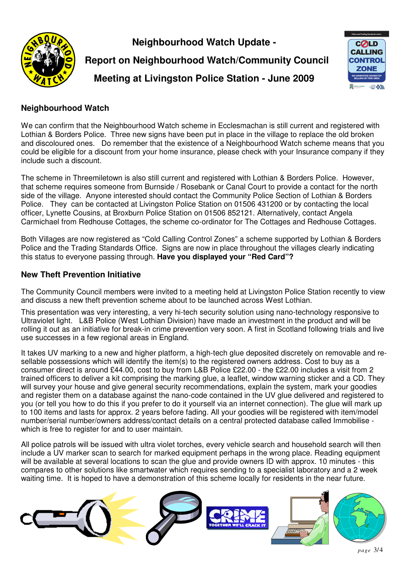

**Neighbourhood Watch Update -**

 **Report on Neighbourhood Watch/Community Council Meeting at Livingston Police Station - June 2009**



## **Neighbourhood Watch**

We can confirm that the Neighbourhood Watch scheme in Ecclesmachan is still current and registered with Lothian & Borders Police. Three new signs have been put in place in the village to replace the old broken and discoloured ones. Do remember that the existence of a Neighbourhood Watch scheme means that you could be eligible for a discount from your home insurance, please check with your Insurance company if they include such a discount.

The scheme in Threemiletown is also still current and registered with Lothian & Borders Police. However, that scheme requires someone from Burnside / Rosebank or Canal Court to provide a contact for the north side of the village. Anyone interested should contact the Community Police Section of Lothian & Borders Police. They can be contacted at Livingston Police Station on 01506 431200 or by contacting the local officer, Lynette Cousins, at Broxburn Police Station on 01506 852121. Alternatively, contact Angela Carmichael from Redhouse Cottages, the scheme co-ordinator for The Cottages and Redhouse Cottages.

Both Villages are now registered as "Cold Calling Control Zones" a scheme supported by Lothian & Borders Police and the Trading Standards Office. Signs are now in place throughout the villages clearly indicating this status to everyone passing through. **Have you displayed your "Red Card"?**

## **New Theft Prevention Initiative**

The Community Council members were invited to a meeting held at Livingston Police Station recently to view and discuss a new theft prevention scheme about to be launched across West Lothian.

This presentation was very interesting, a very hi-tech security solution using nano-technology responsive to Ultraviolet light. L&B Police (West Lothian Division) have made an investment in the product and will be rolling it out as an initiative for break-in crime prevention very soon. A first in Scotland following trials and live use successes in a few regional areas in England.

It takes UV marking to a new and higher platform, a high-tech glue deposited discretely on removable and resellable possessions which will identify the item(s) to the registered owners address. Cost to buy as a consumer direct is around £44.00, cost to buy from L&B Police £22.00 - the £22.00 includes a visit from 2 trained officers to deliver a kit comprising the marking glue, a leaflet, window warning sticker and a CD. They will survey your house and give general security recommendations, explain the system, mark your goodies and register them on a database against the nano-code contained in the UV glue delivered and registered to you (or tell you how to do this if you prefer to do it yourself via an internet connection). The glue will mark up to 100 items and lasts for approx. 2 years before fading. All your goodies will be registered with item/model number/serial number/owners address/contact details on a central protected database called Immobilise which is free to register for and to user maintain.

All police patrols will be issued with ultra violet torches, every vehicle search and household search will then include a UV marker scan to search for marked equipment perhaps in the wrong place. Reading equipment will be available at several locations to scan the glue and provide owners ID with approx. 10 minutes - this compares to other solutions like smartwater which requires sending to a specialist laboratory and a 2 week waiting time. It is hoped to have a demonstration of this scheme locally for residents in the near future.